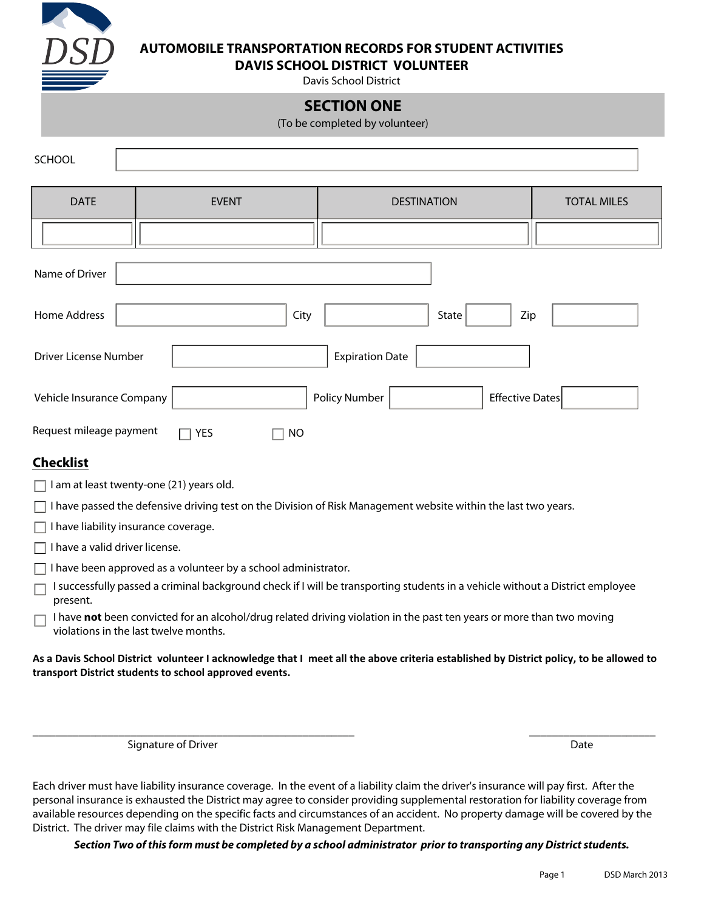

## **AUTOMOBILE TRANSPORTATION RECORDS FOR STUDENT ACTIVITIES**

**DAVIS SCHOOL DISTRICT VOLUNTEER** 

Davis School District

## **SECTION ONE**

(To be completed by volunteer)

| SCHOOL                                          |              |               |                    |                        |                    |
|-------------------------------------------------|--------------|---------------|--------------------|------------------------|--------------------|
| <b>DATE</b>                                     | <b>EVENT</b> |               | <b>DESTINATION</b> |                        | <b>TOTAL MILES</b> |
|                                                 |              |               |                    |                        |                    |
| Name of Driver                                  |              |               |                    |                        |                    |
| Home Address<br>City<br>State<br>Zip            |              |               |                    |                        |                    |
| <b>Expiration Date</b><br>Driver License Number |              |               |                    |                        |                    |
| Vehicle Insurance Company                       |              | Policy Number |                    | <b>Effective Dates</b> |                    |

**Checklist**

 $\Box$  I am at least twenty-one (21) years old.

Request mileage payment  $\Box$  YES  $\Box$  NO

 $\Box$  I have passed the defensive driving test on the Division of Risk Management website within the last two years.

 $\Box$  I have liability insurance coverage.

 $\Box$  I have a valid driver license.

 $\Box$  I have been approved as a volunteer by a school administrator.

I successfully passed a criminal background check if I will be transporting students in a vehicle without a District employee present.

I have **not** been convicted for an alcohol/drug related driving violation in the past ten years or more than two moving violations in the last twelve months.

**As a Davis School District volunteer I acknowledge that I meet all the above criteria established by District policy, to be allowed to transport District students to school approved events.** 

\_\_\_\_\_\_\_\_\_\_\_\_\_\_\_\_\_\_\_\_\_\_\_\_\_\_\_\_\_\_\_\_\_\_\_\_\_\_\_\_\_\_\_\_\_\_\_\_\_\_\_\_\_\_\_\_ \_\_\_\_\_\_\_\_\_\_\_\_\_\_\_\_\_\_\_\_\_\_

Signature of Driver **Date** 

Each driver must have liability insurance coverage. In the event of a liability claim the driver's insurance will pay first. After the personal insurance is exhausted the District may agree to consider providing supplemental restoration for liability coverage from available resources depending on the specific facts and circumstances of an accident. No property damage will be covered by the District. The driver may file claims with the District Risk Management Department.

*Section Two of this form must be completed by a school administrator prior to transporting any District students.*